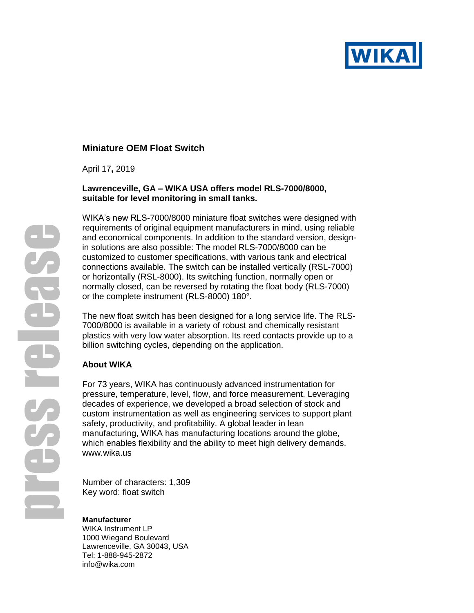

# **Miniature OEM Float Switch**

April 17**,** 2019

## **Lawrenceville, GA – WIKA USA offers model RLS-7000/8000, suitable for level monitoring in small tanks.**

WIKA's new RLS-7000/8000 miniature float switches were designed with requirements of original equipment manufacturers in mind, using reliable and economical components. In addition to the standard version, designin solutions are also possible: The model RLS-7000/8000 can be customized to customer specifications, with various tank and electrical connections available. The switch can be installed vertically (RSL-7000) or horizontally (RSL-8000). Its switching function, normally open or normally closed, can be reversed by rotating the float body (RLS-7000) or the complete instrument (RLS-8000) 180°.

The new float switch has been designed for a long service life. The RLS-7000/8000 is available in a variety of robust and chemically resistant plastics with very low water absorption. Its reed contacts provide up to a billion switching cycles, depending on the application.

## **About WIKA**

For 73 years, WIKA has continuously advanced instrumentation for pressure, temperature, level, flow, and force measurement. Leveraging decades of experience, we developed a broad selection of stock and custom instrumentation as well as engineering services to support plant safety, productivity, and profitability. A global leader in lean manufacturing, WIKA has manufacturing locations around the globe, which enables flexibility and the ability to meet high delivery demands. [www.wika.us](http://www.wika.us/)

Number of characters: 1,309 Key word: float switch

## **Manufacturer**

WIKA Instrument LP 1000 Wiegand Boulevard Lawrenceville, GA 30043, USA Tel: 1-888-945-2872 info@wika.com